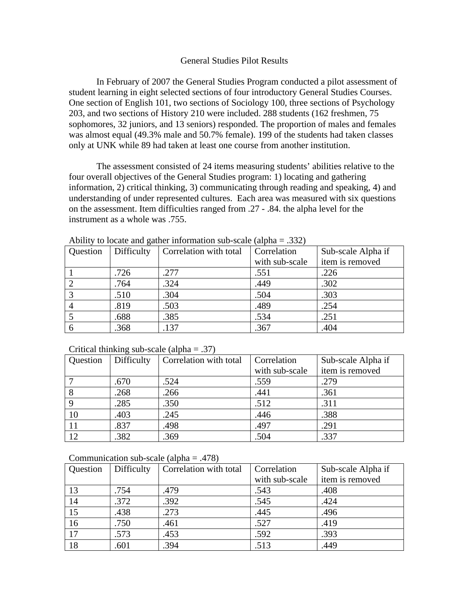## General Studies Pilot Results

 In February of 2007 the General Studies Program conducted a pilot assessment of student learning in eight selected sections of four introductory General Studies Courses. One section of English 101, two sections of Sociology 100, three sections of Psychology 203, and two sections of History 210 were included. 288 students (162 freshmen, 75 sophomores, 32 juniors, and 13 seniors) responded. The proportion of males and females was almost equal (49.3% male and 50.7% female). 199 of the students had taken classes only at UNK while 89 had taken at least one course from another institution.

 The assessment consisted of 24 items measuring students' abilities relative to the four overall objectives of the General Studies program: 1) locating and gathering information, 2) critical thinking, 3) communicating through reading and speaking, 4) and understanding of under represented cultures. Each area was measured with six questions on the assessment. Item difficulties ranged from .27 - .84. the alpha level for the instrument as a whole was .755.

| Trome, to rocate and gainer mrommarion suc-searc (arpha |            |                        |                |                    |
|---------------------------------------------------------|------------|------------------------|----------------|--------------------|
| Question                                                | Difficulty | Correlation with total | Correlation    | Sub-scale Alpha if |
|                                                         |            |                        | with sub-scale | item is removed    |
|                                                         | .726       | .277                   | .551           | .226               |
|                                                         | .764       | .324                   | .449           | .302               |
| 3                                                       | .510       | .304                   | .504           | .303               |
|                                                         | .819       | .503                   | .489           | .254               |
|                                                         | .688       | .385                   | .534           | .251               |
|                                                         | .368       | .137                   | .367           | .404               |

Ability to locate and gather information sub-scale (alpha  $= .332$ )

| Critical thinking sub-scale (alpha = $.37$ ) |  |  |  |  |  |
|----------------------------------------------|--|--|--|--|--|
|----------------------------------------------|--|--|--|--|--|

| Question      | Difficulty | Correlation with total | Correlation    | Sub-scale Alpha if |
|---------------|------------|------------------------|----------------|--------------------|
|               |            |                        | with sub-scale | item is removed    |
|               | .670       | .524                   | .559           | .279               |
|               | .268       | .266                   | .441           | .361               |
|               | .285       | .350                   | .512           | .311               |
| 10            | .403       | .245                   | .446           | .388               |
| <sup>11</sup> | .837       | .498                   | .497           | .291               |
| 12            | .382       | .369                   | .504           | .337               |

| Communication sub-scale (alpha = $.478$ ) |  |
|-------------------------------------------|--|
|-------------------------------------------|--|

| Question | Difficulty | Correlation with total | Correlation    | Sub-scale Alpha if |
|----------|------------|------------------------|----------------|--------------------|
|          |            |                        | with sub-scale | item is removed    |
| 13       | .754       | .479                   | .543           | .408               |
| 14       | .372       | .392                   | .545           | .424               |
| 15       | .438       | .273                   | .445           | .496               |
| 16       | .750       | .461                   | .527           | .419               |
| 17       | .573       | .453                   | .592           | .393               |
| 18       | .601       | .394                   | .513           | .449               |